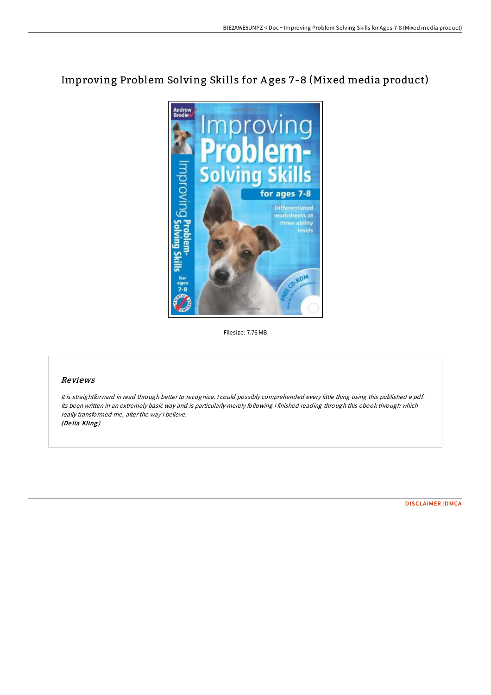# Improving Problem Solving Skills for A ges 7-8 (Mixed media product)



Filesize: 7.76 MB

# Reviews

It is straightforward in read through better to recognize. <sup>I</sup> could possibly comprehended every little thing using this published <sup>e</sup> pdf. Its been written in an extremely basic way and is particularly merely following i finished reading through this ebook through which really transformed me, alter the way i believe. (De lia Kling )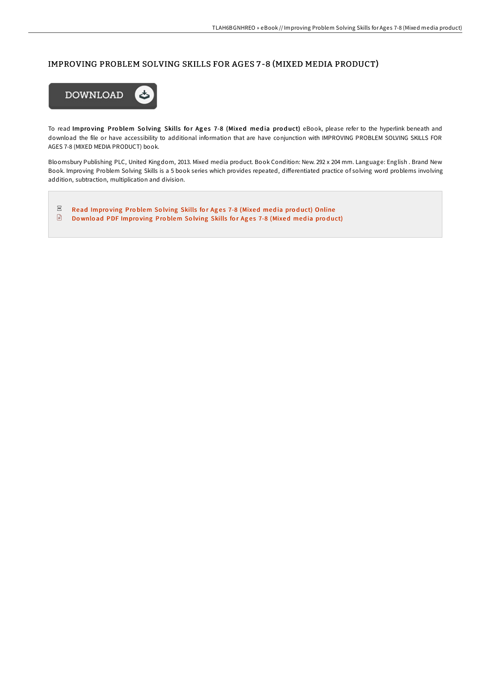## IMPROVING PROBLEM SOLVING SKILLS FOR AGES 7 -8 (MIXED MEDIA PRODUCT)



To read Improving Problem Solving Skills for Ages 7-8 (Mixed media product) eBook, please refer to the hyperlink beneath and download the file or have accessibility to additional information that are have conjunction with IMPROVING PROBLEM SOLVING SKILLS FOR AGES 7-8 (MIXED MEDIA PRODUCT) book.

Bloomsbury Publishing PLC, United Kingdom, 2013. Mixed media product. Book Condition: New. 292 x 204 mm. Language: English . Brand New Book. Improving Problem Solving Skills is a 5 book series which provides repeated, differentiated practice of solving word problems involving addition, subtraction, multiplication and division.

 $_{\rm{pbr}}$ Read Improving Problem Solving Skills for Ages 7-8 [\(Mixed](http://almighty24.tech/improving-problem-solving-skills-for-ages-7-8-mi.html) media product) Online  $\quad \ \ \, \Box$ Download PDF Improving Problem Solving Skills for Ages 7-8 [\(Mixed](http://almighty24.tech/improving-problem-solving-skills-for-ages-7-8-mi.html) media product)